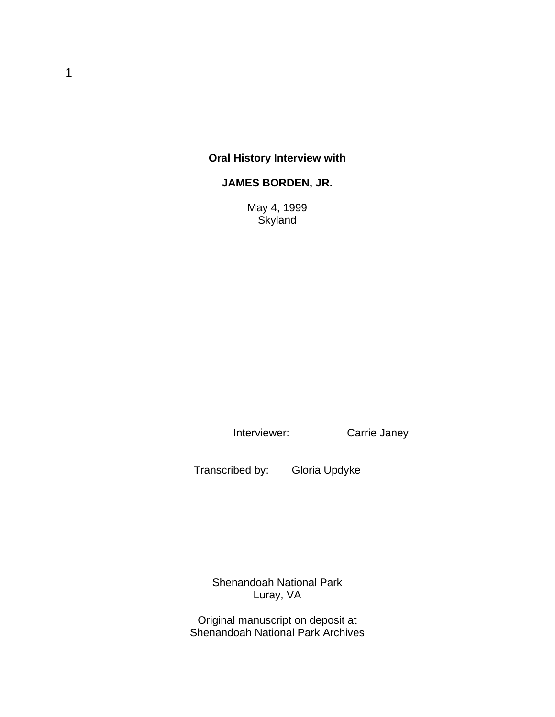## **Oral History Interview with**

### **JAMES BORDEN, JR.**

May 4, 1999 **Skyland** 

Interviewer: Carrie Janey

Transcribed by: Gloria Updyke

Shenandoah National Park Luray, VA

Original manuscript on deposit at Shenandoah National Park Archives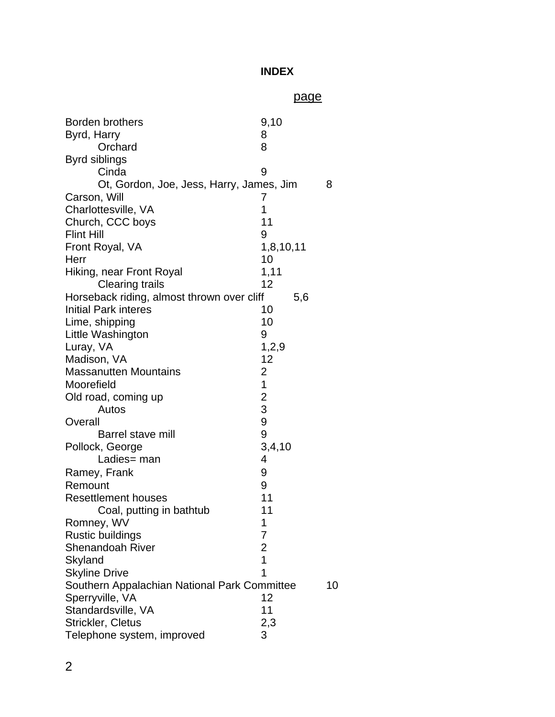## **INDEX**

# page

| <b>Borden brothers</b>                       | 9,10                             |    |
|----------------------------------------------|----------------------------------|----|
| Byrd, Harry                                  | 8                                |    |
| Orchard                                      | 8                                |    |
| Byrd siblings                                |                                  |    |
| Cinda                                        | 9                                |    |
| Ot, Gordon, Joe, Jess, Harry, James, Jim     |                                  | 8  |
| Carson, Will                                 | 7                                |    |
| Charlottesville, VA                          | 1                                |    |
| Church, CCC boys                             | 11                               |    |
| <b>Flint Hill</b>                            | 9                                |    |
| Front Royal, VA                              | 1,8,10,11                        |    |
| Herr                                         | 10                               |    |
| Hiking, near Front Royal                     | 1,11                             |    |
| <b>Clearing trails</b>                       | 12                               |    |
| Horseback riding, almost thrown over cliff   | 5,6                              |    |
| <b>Initial Park interes</b>                  | 10                               |    |
| Lime, shipping                               | 10                               |    |
| Little Washington                            | 9                                |    |
| Luray, VA                                    | 1,2,9                            |    |
| Madison, VA                                  | 12                               |    |
| <b>Massanutten Mountains</b>                 | 2                                |    |
| Moorefield                                   | 1                                |    |
| Old road, coming up                          |                                  |    |
| Autos                                        | $\frac{2}{3}$                    |    |
| Overall                                      | 9                                |    |
| Barrel stave mill                            | 9                                |    |
| Pollock, George                              | 3,4,10                           |    |
| Ladies= man                                  | 4                                |    |
|                                              | 9                                |    |
| Ramey, Frank<br>Remount                      | 9                                |    |
| <b>Resettlement houses</b>                   | 11                               |    |
|                                              | 11                               |    |
| Coal, putting in bathtub                     |                                  |    |
| Romney, WV                                   |                                  |    |
| <b>Rustic buildings</b>                      | 7                                |    |
| Shenandoah River                             | $\overline{c}$<br>$\overline{1}$ |    |
| Skyland                                      |                                  |    |
| <b>Skyline Drive</b>                         | 1                                |    |
| Southern Appalachian National Park Committee |                                  | 10 |
| Sperryville, VA                              | 12                               |    |
| Standardsville, VA                           | 11                               |    |
| Strickler, Cletus                            | 2,3                              |    |
| Telephone system, improved                   | 3                                |    |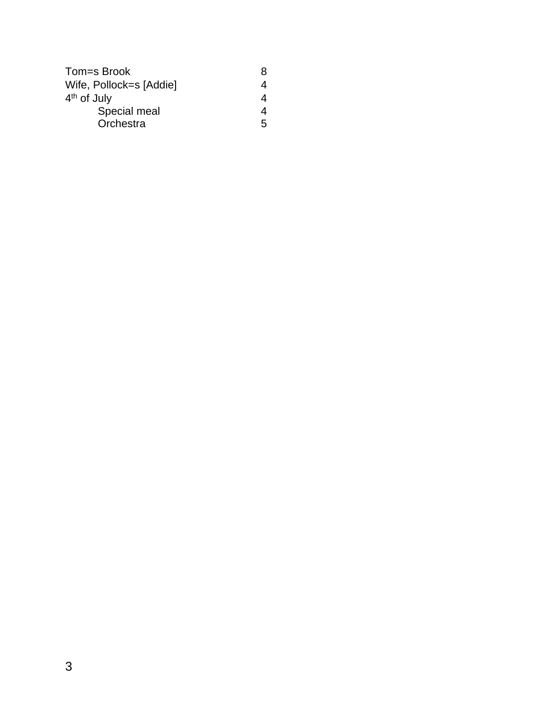| Tom=s Brook             | 8 |
|-------------------------|---|
| Wife, Pollock=s [Addie] |   |
| 4 <sup>th</sup> of July |   |
| Special meal            |   |
| Orchestra               | 5 |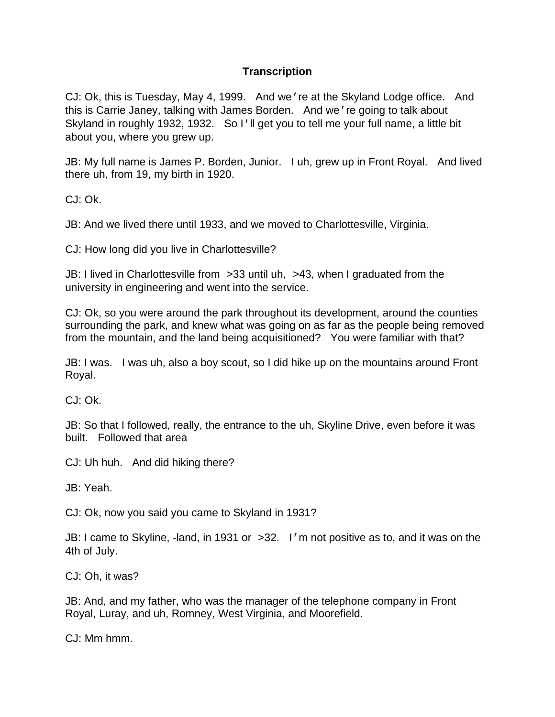### **Transcription**

CJ: Ok, this is Tuesday, May 4, 1999. And we're at the Skyland Lodge office. And this is Carrie Janey, talking with James Borden. And we're going to talk about Skyland in roughly 1932, 1932. So I'll get you to tell me your full name, a little bit about you, where you grew up.

JB: My full name is James P. Borden, Junior. I uh, grew up in Front Royal. And lived there uh, from 19, my birth in 1920.

CJ: Ok.

JB: And we lived there until 1933, and we moved to Charlottesville, Virginia.

CJ: How long did you live in Charlottesville?

JB: I lived in Charlottesville from >33 until uh, >43, when I graduated from the university in engineering and went into the service.

CJ: Ok, so you were around the park throughout its development, around the counties surrounding the park, and knew what was going on as far as the people being removed from the mountain, and the land being acquisitioned? You were familiar with that?

JB: I was. I was uh, also a boy scout, so I did hike up on the mountains around Front Royal.

CJ: Ok.

JB: So that I followed, really, the entrance to the uh, Skyline Drive, even before it was built. Followed that area

CJ: Uh huh. And did hiking there?

JB: Yeah.

CJ: Ok, now you said you came to Skyland in 1931?

JB: I came to Skyline, -land, in 1931 or >32. I 'm not positive as to, and it was on the 4th of July.

CJ: Oh, it was?

JB: And, and my father, who was the manager of the telephone company in Front Royal, Luray, and uh, Romney, West Virginia, and Moorefield.

CJ: Mm hmm.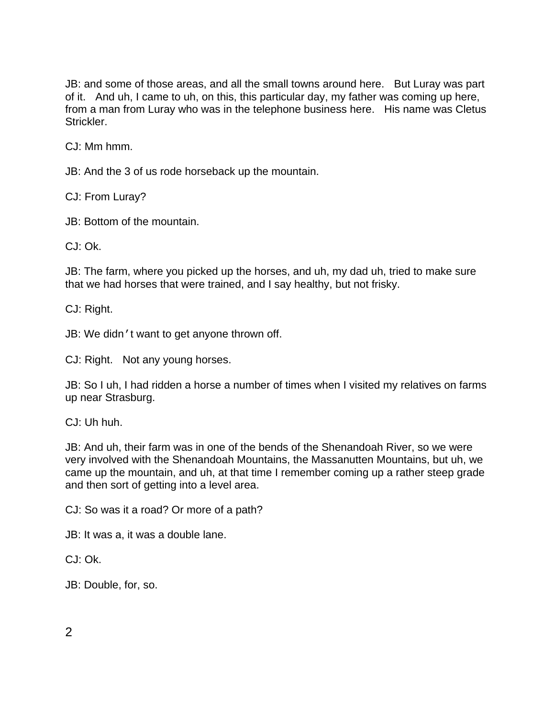JB: and some of those areas, and all the small towns around here. But Luray was part of it. And uh, I came to uh, on this, this particular day, my father was coming up here, from a man from Luray who was in the telephone business here. His name was Cletus Strickler.

CJ: Mm hmm.

JB: And the 3 of us rode horseback up the mountain.

CJ: From Luray?

JB: Bottom of the mountain.

CJ: Ok.

JB: The farm, where you picked up the horses, and uh, my dad uh, tried to make sure that we had horses that were trained, and I say healthy, but not frisky.

CJ: Right.

JB: We didn't want to get anyone thrown off.

CJ: Right. Not any young horses.

JB: So I uh, I had ridden a horse a number of times when I visited my relatives on farms up near Strasburg.

CJ: Uh huh.

JB: And uh, their farm was in one of the bends of the Shenandoah River, so we were very involved with the Shenandoah Mountains, the Massanutten Mountains, but uh, we came up the mountain, and uh, at that time I remember coming up a rather steep grade and then sort of getting into a level area.

CJ: So was it a road? Or more of a path?

JB: It was a, it was a double lane.

 $C_1$  $\cdot$   $\cap$  $k$ 

JB: Double, for, so.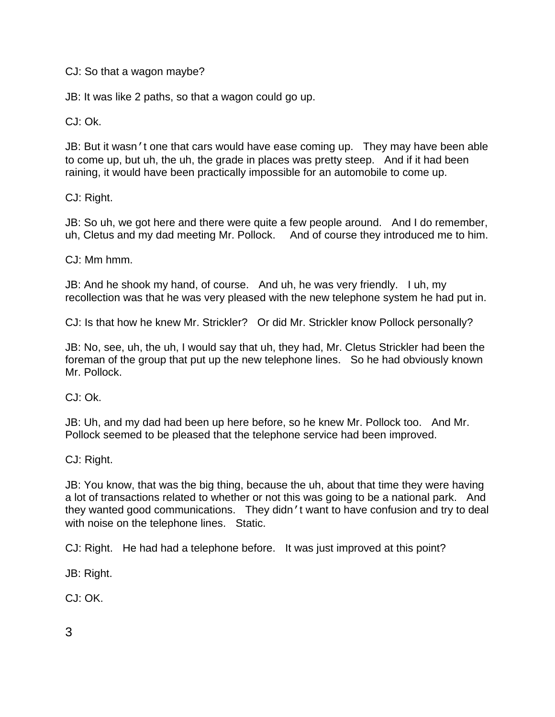CJ: So that a wagon maybe?

JB: It was like 2 paths, so that a wagon could go up.

CJ: Ok.

JB: But it wasn't one that cars would have ease coming up. They may have been able to come up, but uh, the uh, the grade in places was pretty steep. And if it had been raining, it would have been practically impossible for an automobile to come up.

CJ: Right.

JB: So uh, we got here and there were quite a few people around. And I do remember, uh, Cletus and my dad meeting Mr. Pollock. And of course they introduced me to him.

CJ: Mm hmm.

JB: And he shook my hand, of course. And uh, he was very friendly. I uh, my recollection was that he was very pleased with the new telephone system he had put in.

CJ: Is that how he knew Mr. Strickler? Or did Mr. Strickler know Pollock personally?

JB: No, see, uh, the uh, I would say that uh, they had, Mr. Cletus Strickler had been the foreman of the group that put up the new telephone lines. So he had obviously known Mr. Pollock.

CJ: Ok.

JB: Uh, and my dad had been up here before, so he knew Mr. Pollock too. And Mr. Pollock seemed to be pleased that the telephone service had been improved.

CJ: Right.

JB: You know, that was the big thing, because the uh, about that time they were having a lot of transactions related to whether or not this was going to be a national park. And they wanted good communications. They didn't want to have confusion and try to deal with noise on the telephone lines. Static.

CJ: Right. He had had a telephone before. It was just improved at this point?

JB: Right.

CJ: OK.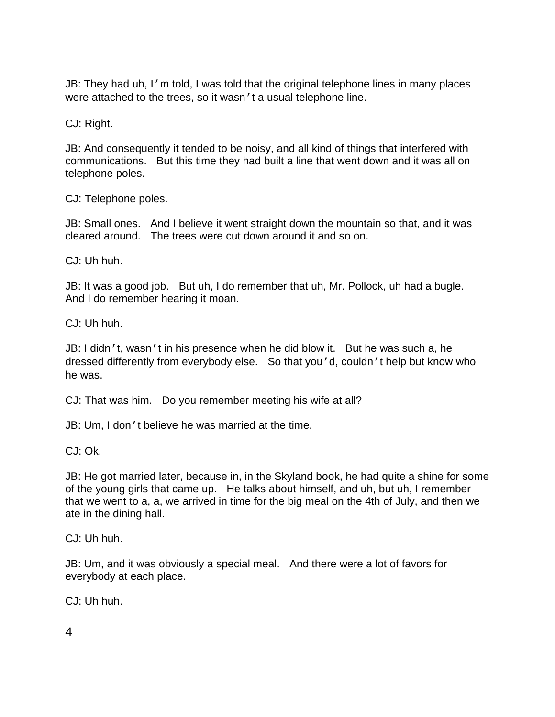JB: They had uh, I'm told, I was told that the original telephone lines in many places were attached to the trees, so it wasn't a usual telephone line.

CJ: Right.

JB: And consequently it tended to be noisy, and all kind of things that interfered with communications. But this time they had built a line that went down and it was all on telephone poles.

CJ: Telephone poles.

JB: Small ones. And I believe it went straight down the mountain so that, and it was cleared around. The trees were cut down around it and so on.

CJ: Uh huh.

JB: It was a good job. But uh, I do remember that uh, Mr. Pollock, uh had a bugle. And I do remember hearing it moan.

CJ: Uh huh.

JB: I didn't, wasn't in his presence when he did blow it. But he was such a, he dressed differently from everybody else. So that you'd, couldn't help but know who he was.

CJ: That was him. Do you remember meeting his wife at all?

JB: Um, I don't believe he was married at the time.

CJ: Ok.

JB: He got married later, because in, in the Skyland book, he had quite a shine for some of the young girls that came up. He talks about himself, and uh, but uh, I remember that we went to a, a, we arrived in time for the big meal on the 4th of July, and then we ate in the dining hall.

CJ: Uh huh.

JB: Um, and it was obviously a special meal. And there were a lot of favors for everybody at each place.

CJ: Uh huh.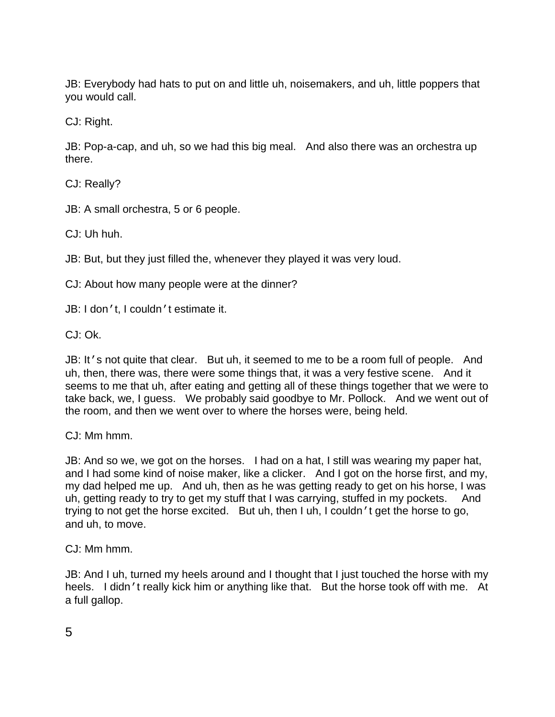JB: Everybody had hats to put on and little uh, noisemakers, and uh, little poppers that you would call.

CJ: Right.

JB: Pop-a-cap, and uh, so we had this big meal. And also there was an orchestra up there.

CJ: Really?

JB: A small orchestra, 5 or 6 people.

CJ: Uh huh.

JB: But, but they just filled the, whenever they played it was very loud.

CJ: About how many people were at the dinner?

JB: I don't, I couldn't estimate it.

CJ: Ok.

JB: It's not quite that clear. But uh, it seemed to me to be a room full of people. And uh, then, there was, there were some things that, it was a very festive scene. And it seems to me that uh, after eating and getting all of these things together that we were to take back, we, I guess. We probably said goodbye to Mr. Pollock. And we went out of the room, and then we went over to where the horses were, being held.

CJ: Mm hmm.

JB: And so we, we got on the horses. I had on a hat, I still was wearing my paper hat, and I had some kind of noise maker, like a clicker. And I got on the horse first, and my, my dad helped me up. And uh, then as he was getting ready to get on his horse, I was uh, getting ready to try to get my stuff that I was carrying, stuffed in my pockets. And trying to not get the horse excited. But uh, then I uh, I couldn't get the horse to go, and uh, to move.

CJ: Mm hmm.

JB: And I uh, turned my heels around and I thought that I just touched the horse with my heels. I didn't really kick him or anything like that. But the horse took off with me. At a full gallop.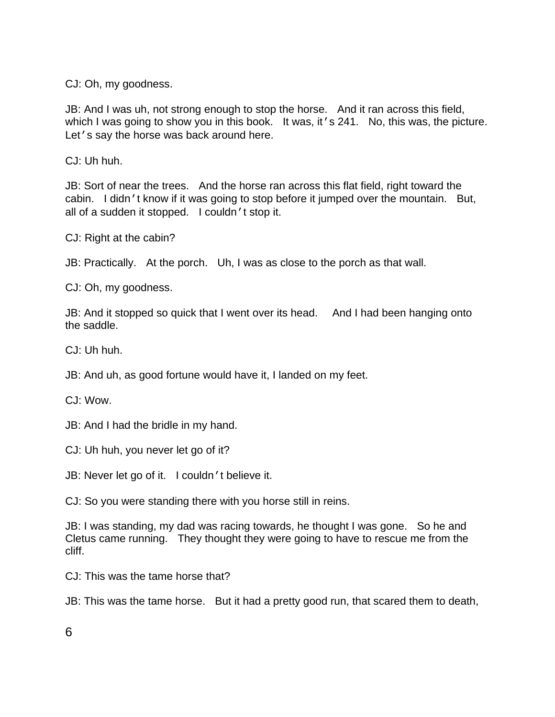CJ: Oh, my goodness.

JB: And I was uh, not strong enough to stop the horse. And it ran across this field, which I was going to show you in this book. It was, it 's 241. No, this was, the picture. Let's say the horse was back around here.

CJ: Uh huh.

JB: Sort of near the trees. And the horse ran across this flat field, right toward the cabin. I didn't know if it was going to stop before it jumped over the mountain. But, all of a sudden it stopped. I couldn't stop it.

CJ: Right at the cabin?

JB: Practically. At the porch. Uh, I was as close to the porch as that wall.

CJ: Oh, my goodness.

JB: And it stopped so quick that I went over its head. And I had been hanging onto the saddle.

CJ: Uh huh.

JB: And uh, as good fortune would have it, I landed on my feet.

CJ: Wow.

JB: And I had the bridle in my hand.

CJ: Uh huh, you never let go of it?

JB: Never let go of it. I couldn't believe it.

CJ: So you were standing there with you horse still in reins.

JB: I was standing, my dad was racing towards, he thought I was gone. So he and Cletus came running. They thought they were going to have to rescue me from the cliff.

CJ: This was the tame horse that?

JB: This was the tame horse. But it had a pretty good run, that scared them to death,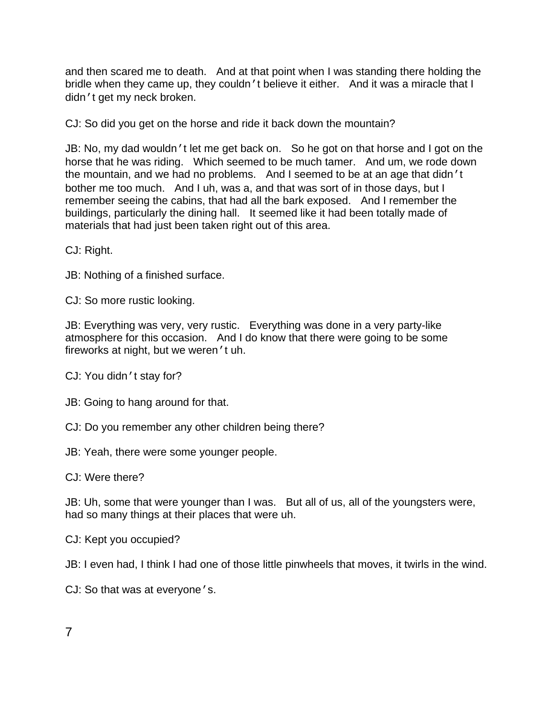and then scared me to death. And at that point when I was standing there holding the bridle when they came up, they couldn't believe it either. And it was a miracle that I didn't get my neck broken.

CJ: So did you get on the horse and ride it back down the mountain?

JB: No, my dad wouldn't let me get back on. So he got on that horse and I got on the horse that he was riding. Which seemed to be much tamer. And um, we rode down the mountain, and we had no problems. And I seemed to be at an age that didn't bother me too much. And I uh, was a, and that was sort of in those days, but I remember seeing the cabins, that had all the bark exposed. And I remember the buildings, particularly the dining hall. It seemed like it had been totally made of materials that had just been taken right out of this area.

CJ: Right.

JB: Nothing of a finished surface.

CJ: So more rustic looking.

JB: Everything was very, very rustic. Everything was done in a very party-like atmosphere for this occasion. And I do know that there were going to be some fireworks at night, but we weren't uh.

CJ: You didn't stay for?

JB: Going to hang around for that.

CJ: Do you remember any other children being there?

JB: Yeah, there were some younger people.

CJ: Were there?

JB: Uh, some that were younger than I was. But all of us, all of the youngsters were, had so many things at their places that were uh.

CJ: Kept you occupied?

JB: I even had, I think I had one of those little pinwheels that moves, it twirls in the wind.

CJ: So that was at everyone's.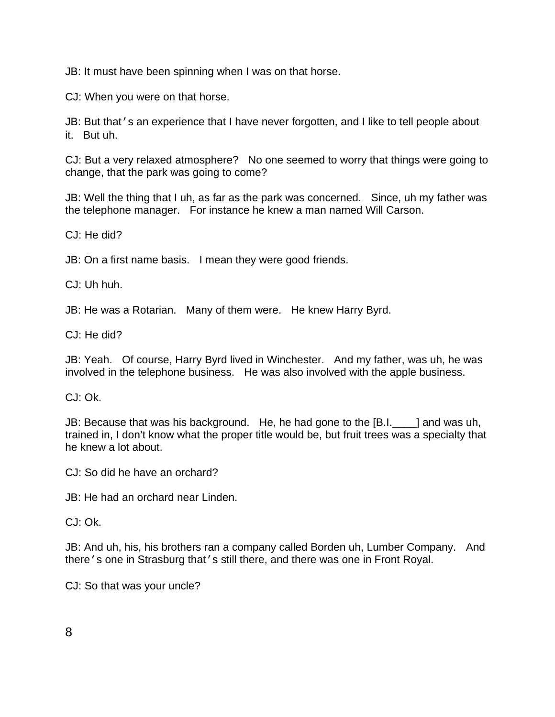JB: It must have been spinning when I was on that horse.

CJ: When you were on that horse.

JB: But that's an experience that I have never forgotten, and I like to tell people about it. But uh.

CJ: But a very relaxed atmosphere? No one seemed to worry that things were going to change, that the park was going to come?

JB: Well the thing that I uh, as far as the park was concerned. Since, uh my father was the telephone manager. For instance he knew a man named Will Carson.

CJ: He did?

JB: On a first name basis. I mean they were good friends.

CJ: Uh huh.

JB: He was a Rotarian. Many of them were. He knew Harry Byrd.

CJ: He did?

JB: Yeah. Of course, Harry Byrd lived in Winchester. And my father, was uh, he was involved in the telephone business. He was also involved with the apple business.

CJ: Ok.

JB: Because that was his background. He, he had gone to the [B.I.\_\_\_\_] and was uh, trained in, I don't know what the proper title would be, but fruit trees was a specialty that he knew a lot about.

CJ: So did he have an orchard?

JB: He had an orchard near Linden.

CJ: Ok.

JB: And uh, his, his brothers ran a company called Borden uh, Lumber Company. And there's one in Strasburg that's still there, and there was one in Front Royal.

CJ: So that was your uncle?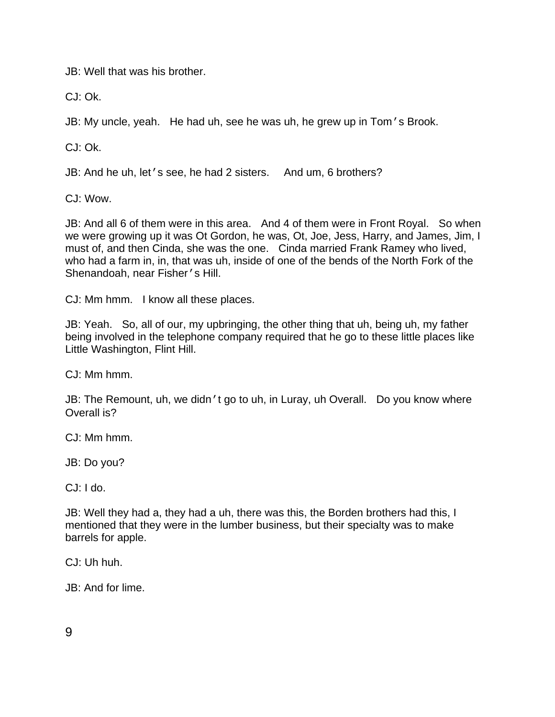JB: Well that was his brother.

CJ: Ok.

JB: My uncle, yeah. He had uh, see he was uh, he grew up in Tom's Brook.

CJ: Ok.

JB: And he uh, let's see, he had 2 sisters. And um, 6 brothers?

CJ: Wow.

JB: And all 6 of them were in this area. And 4 of them were in Front Royal. So when we were growing up it was Ot Gordon, he was, Ot, Joe, Jess, Harry, and James, Jim, I must of, and then Cinda, she was the one. Cinda married Frank Ramey who lived, who had a farm in, in, that was uh, inside of one of the bends of the North Fork of the Shenandoah, near Fisher's Hill.

CJ: Mm hmm. I know all these places.

JB: Yeah. So, all of our, my upbringing, the other thing that uh, being uh, my father being involved in the telephone company required that he go to these little places like Little Washington, Flint Hill.

CJ: Mm hmm.

JB: The Remount, uh, we didn't go to uh, in Luray, uh Overall. Do you know where Overall is?

CJ: Mm hmm.

JB: Do you?

CJ: I do.

JB: Well they had a, they had a uh, there was this, the Borden brothers had this, I mentioned that they were in the lumber business, but their specialty was to make barrels for apple.

CJ: Uh huh.

JB: And for lime.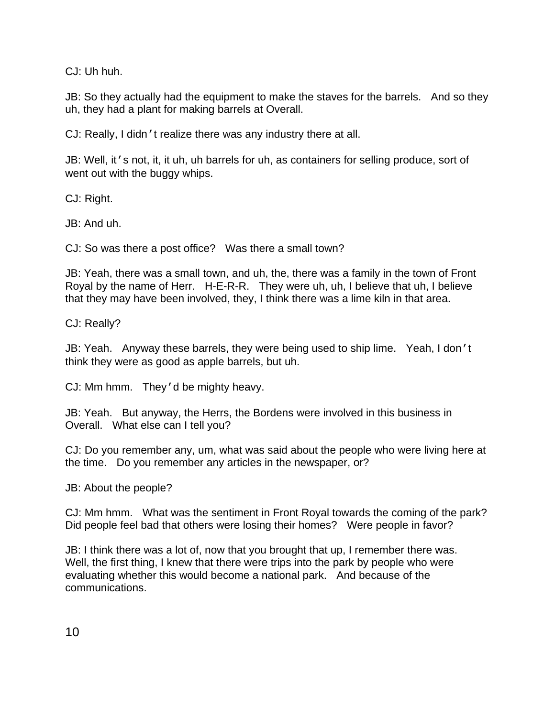CJ: Uh huh.

JB: So they actually had the equipment to make the staves for the barrels. And so they uh, they had a plant for making barrels at Overall.

CJ: Really, I didn't realize there was any industry there at all.

JB: Well, it's not, it, it uh, uh barrels for uh, as containers for selling produce, sort of went out with the buggy whips.

CJ: Right.

JB: And uh.

CJ: So was there a post office? Was there a small town?

JB: Yeah, there was a small town, and uh, the, there was a family in the town of Front Royal by the name of Herr. H-E-R-R. They were uh, uh, I believe that uh, I believe that they may have been involved, they, I think there was a lime kiln in that area.

CJ: Really?

JB: Yeah. Anyway these barrels, they were being used to ship lime. Yeah, I don't think they were as good as apple barrels, but uh.

CJ: Mm hmm. They'd be mighty heavy.

JB: Yeah. But anyway, the Herrs, the Bordens were involved in this business in Overall. What else can I tell you?

CJ: Do you remember any, um, what was said about the people who were living here at the time. Do you remember any articles in the newspaper, or?

JB: About the people?

CJ: Mm hmm. What was the sentiment in Front Royal towards the coming of the park? Did people feel bad that others were losing their homes? Were people in favor?

JB: I think there was a lot of, now that you brought that up, I remember there was. Well, the first thing, I knew that there were trips into the park by people who were evaluating whether this would become a national park. And because of the communications.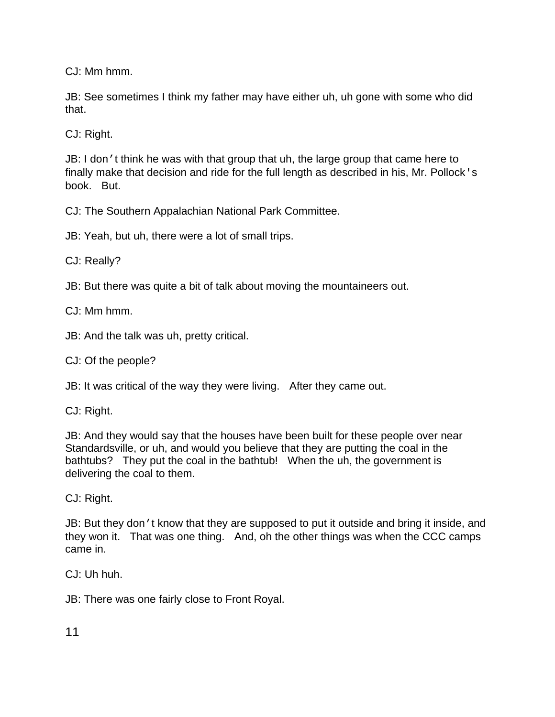CJ: Mm hmm.

JB: See sometimes I think my father may have either uh, uh gone with some who did that.

CJ: Right.

JB: I don't think he was with that group that uh, the large group that came here to finally make that decision and ride for the full length as described in his, Mr. Pollock's book. But.

CJ: The Southern Appalachian National Park Committee.

JB: Yeah, but uh, there were a lot of small trips.

CJ: Really?

JB: But there was quite a bit of talk about moving the mountaineers out.

CJ: Mm hmm.

JB: And the talk was uh, pretty critical.

CJ: Of the people?

JB: It was critical of the way they were living. After they came out.

CJ: Right.

JB: And they would say that the houses have been built for these people over near Standardsville, or uh, and would you believe that they are putting the coal in the bathtubs? They put the coal in the bathtub! When the uh, the government is delivering the coal to them.

CJ: Right.

JB: But they don't know that they are supposed to put it outside and bring it inside, and they won it. That was one thing. And, oh the other things was when the CCC camps came in.

CJ: Uh huh.

JB: There was one fairly close to Front Royal.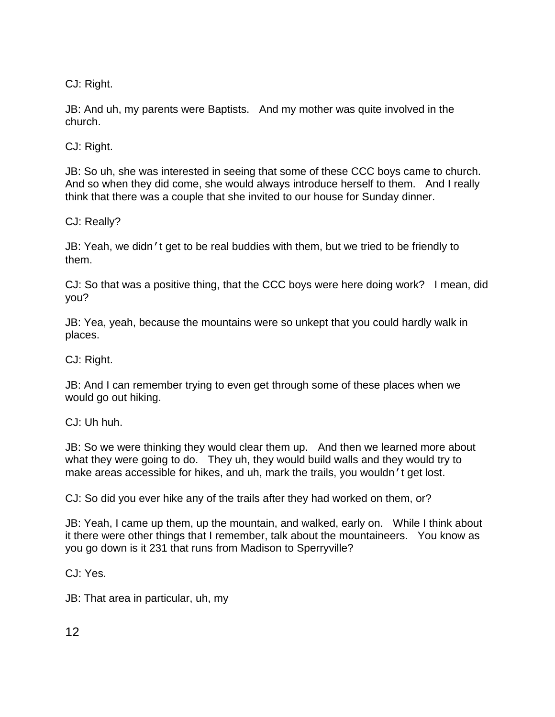CJ: Right.

JB: And uh, my parents were Baptists. And my mother was quite involved in the church.

CJ: Right.

JB: So uh, she was interested in seeing that some of these CCC boys came to church. And so when they did come, she would always introduce herself to them. And I really think that there was a couple that she invited to our house for Sunday dinner.

CJ: Really?

JB: Yeah, we didn't get to be real buddies with them, but we tried to be friendly to them.

CJ: So that was a positive thing, that the CCC boys were here doing work? I mean, did you?

JB: Yea, yeah, because the mountains were so unkept that you could hardly walk in places.

CJ: Right.

JB: And I can remember trying to even get through some of these places when we would go out hiking.

CJ: Uh huh.

JB: So we were thinking they would clear them up. And then we learned more about what they were going to do. They uh, they would build walls and they would try to make areas accessible for hikes, and uh, mark the trails, you wouldn't get lost.

CJ: So did you ever hike any of the trails after they had worked on them, or?

JB: Yeah, I came up them, up the mountain, and walked, early on. While I think about it there were other things that I remember, talk about the mountaineers. You know as you go down is it 231 that runs from Madison to Sperryville?

CJ: Yes.

JB: That area in particular, uh, my